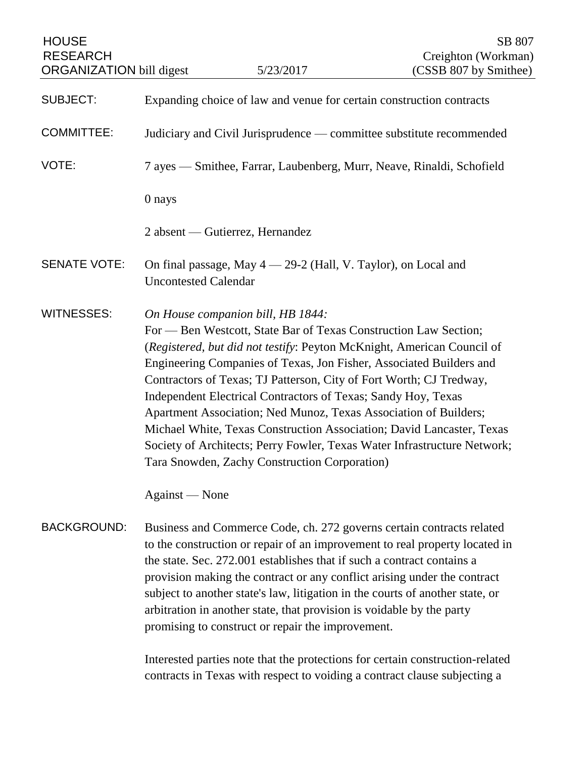| <b>HOUSE</b><br><b>RESEARCH</b><br><b>ORGANIZATION</b> bill digest |                                                                                                                                                                                                                                                                                                                                                                                                                                                                                                                           | 5/23/2017                                                                                                                                                                                                                                                                                                                                                                                                                                                                                                                                                                                                                                                                | SB 807<br>Creighton (Workman)<br>(CSSB 807 by Smithee) |
|--------------------------------------------------------------------|---------------------------------------------------------------------------------------------------------------------------------------------------------------------------------------------------------------------------------------------------------------------------------------------------------------------------------------------------------------------------------------------------------------------------------------------------------------------------------------------------------------------------|--------------------------------------------------------------------------------------------------------------------------------------------------------------------------------------------------------------------------------------------------------------------------------------------------------------------------------------------------------------------------------------------------------------------------------------------------------------------------------------------------------------------------------------------------------------------------------------------------------------------------------------------------------------------------|--------------------------------------------------------|
|                                                                    |                                                                                                                                                                                                                                                                                                                                                                                                                                                                                                                           |                                                                                                                                                                                                                                                                                                                                                                                                                                                                                                                                                                                                                                                                          |                                                        |
| <b>SUBJECT:</b>                                                    | Expanding choice of law and venue for certain construction contracts                                                                                                                                                                                                                                                                                                                                                                                                                                                      |                                                                                                                                                                                                                                                                                                                                                                                                                                                                                                                                                                                                                                                                          |                                                        |
| <b>COMMITTEE:</b>                                                  | Judiciary and Civil Jurisprudence — committee substitute recommended                                                                                                                                                                                                                                                                                                                                                                                                                                                      |                                                                                                                                                                                                                                                                                                                                                                                                                                                                                                                                                                                                                                                                          |                                                        |
| VOTE:                                                              | 7 ayes — Smithee, Farrar, Laubenberg, Murr, Neave, Rinaldi, Schofield                                                                                                                                                                                                                                                                                                                                                                                                                                                     |                                                                                                                                                                                                                                                                                                                                                                                                                                                                                                                                                                                                                                                                          |                                                        |
|                                                                    | 0 nays                                                                                                                                                                                                                                                                                                                                                                                                                                                                                                                    |                                                                                                                                                                                                                                                                                                                                                                                                                                                                                                                                                                                                                                                                          |                                                        |
|                                                                    |                                                                                                                                                                                                                                                                                                                                                                                                                                                                                                                           | 2 absent — Gutierrez, Hernandez                                                                                                                                                                                                                                                                                                                                                                                                                                                                                                                                                                                                                                          |                                                        |
| <b>SENATE VOTE:</b>                                                | <b>Uncontested Calendar</b>                                                                                                                                                                                                                                                                                                                                                                                                                                                                                               | On final passage, May 4 - 29-2 (Hall, V. Taylor), on Local and                                                                                                                                                                                                                                                                                                                                                                                                                                                                                                                                                                                                           |                                                        |
| <b>WITNESSES:</b>                                                  | Against — None                                                                                                                                                                                                                                                                                                                                                                                                                                                                                                            | On House companion bill, HB 1844:<br>For — Ben Westcott, State Bar of Texas Construction Law Section;<br>(Registered, but did not testify: Peyton McKnight, American Council of<br>Engineering Companies of Texas, Jon Fisher, Associated Builders and<br>Contractors of Texas; TJ Patterson, City of Fort Worth; CJ Tredway,<br>Independent Electrical Contractors of Texas; Sandy Hoy, Texas<br>Apartment Association; Ned Munoz, Texas Association of Builders;<br>Michael White, Texas Construction Association; David Lancaster, Texas<br>Society of Architects; Perry Fowler, Texas Water Infrastructure Network;<br>Tara Snowden, Zachy Construction Corporation) |                                                        |
| <b>BACKGROUND:</b>                                                 | Business and Commerce Code, ch. 272 governs certain contracts related<br>to the construction or repair of an improvement to real property located in<br>the state. Sec. 272.001 establishes that if such a contract contains a<br>provision making the contract or any conflict arising under the contract<br>subject to another state's law, litigation in the courts of another state, or<br>arbitration in another state, that provision is voidable by the party<br>promising to construct or repair the improvement. |                                                                                                                                                                                                                                                                                                                                                                                                                                                                                                                                                                                                                                                                          |                                                        |
|                                                                    |                                                                                                                                                                                                                                                                                                                                                                                                                                                                                                                           | Interested parties note that the protections for certain construction-related                                                                                                                                                                                                                                                                                                                                                                                                                                                                                                                                                                                            |                                                        |

Interested parties note that the protections for certain construction-related contracts in Texas with respect to voiding a contract clause subjecting a